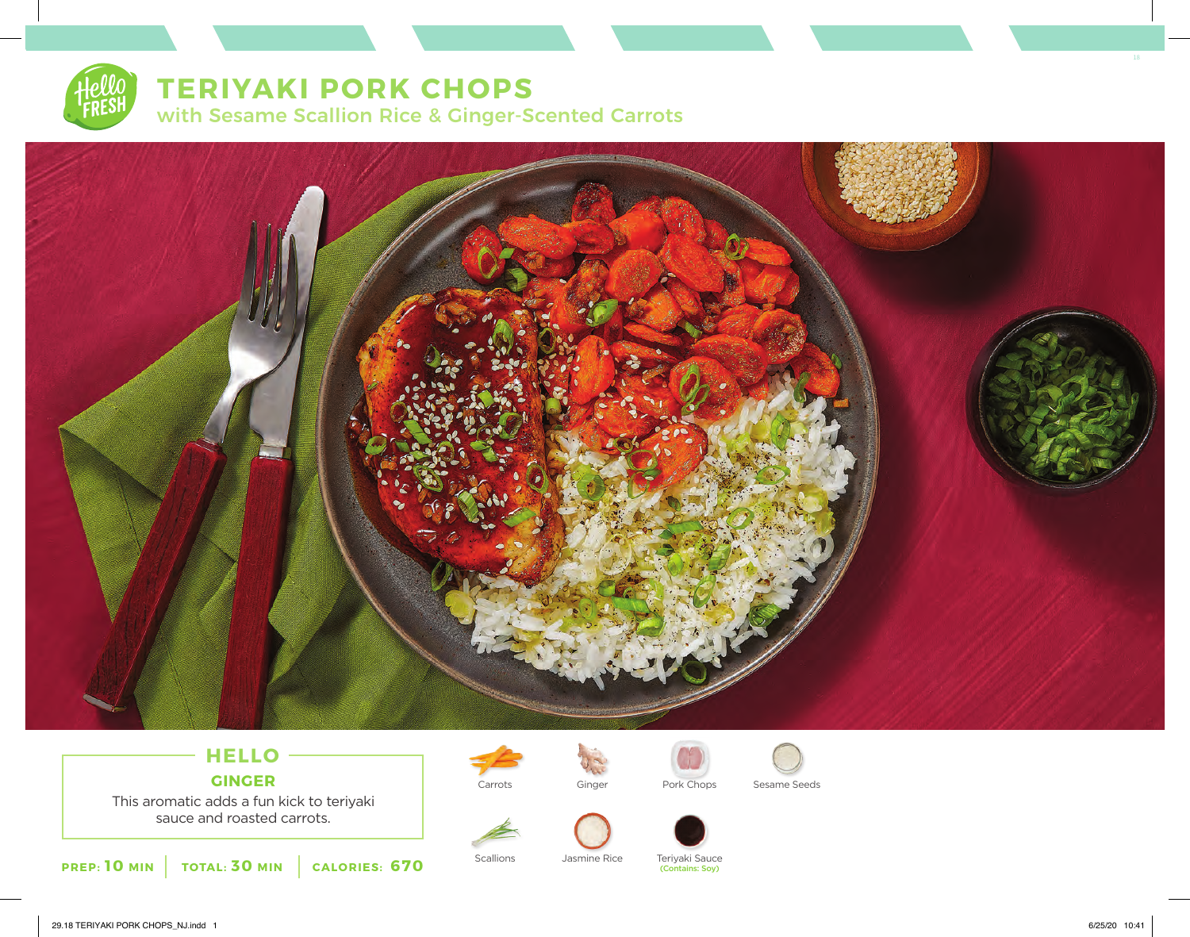

# **TERIYAKI PORK CHOPS**

with Sesame Scallion Rice & Ginger-Scented Carrots



## **HELLO GINGER**

This aromatic adds a fun kick to teriyaki sauce and roasted carrots.









Carrots Ginger Pork Chops Sesame Seeds

Scallions Jasmine Rice Teriyaki Sauce (Contains: Soy)